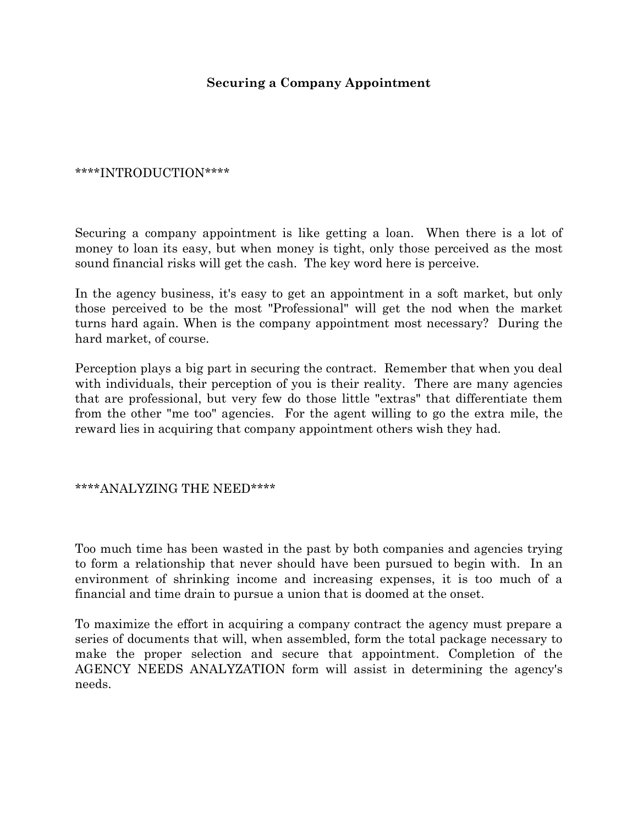## **Securing a Company Appointment**

#### \*\*\*\*INTRODUCTION\*\*\*\*

Securing a company appointment is like getting a loan. When there is a lot of money to loan its easy, but when money is tight, only those perceived as the most sound financial risks will get the cash. The key word here is perceive.

In the agency business, it's easy to get an appointment in a soft market, but only those perceived to be the most "Professional" will get the nod when the market turns hard again. When is the company appointment most necessary? During the hard market, of course.

Perception plays a big part in securing the contract. Remember that when you deal with individuals, their perception of you is their reality. There are many agencies that are professional, but very few do those little "extras" that differentiate them from the other "me too" agencies. For the agent willing to go the extra mile, the reward lies in acquiring that company appointment others wish they had.

#### \*\*\*\*ANALYZING THE NEED\*\*\*\*

Too much time has been wasted in the past by both companies and agencies trying to form a relationship that never should have been pursued to begin with. In an environment of shrinking income and increasing expenses, it is too much of a financial and time drain to pursue a union that is doomed at the onset.

To maximize the effort in acquiring a company contract the agency must prepare a series of documents that will, when assembled, form the total package necessary to make the proper selection and secure that appointment. Completion of the AGENCY NEEDS ANALYZATION form will assist in determining the agency's needs.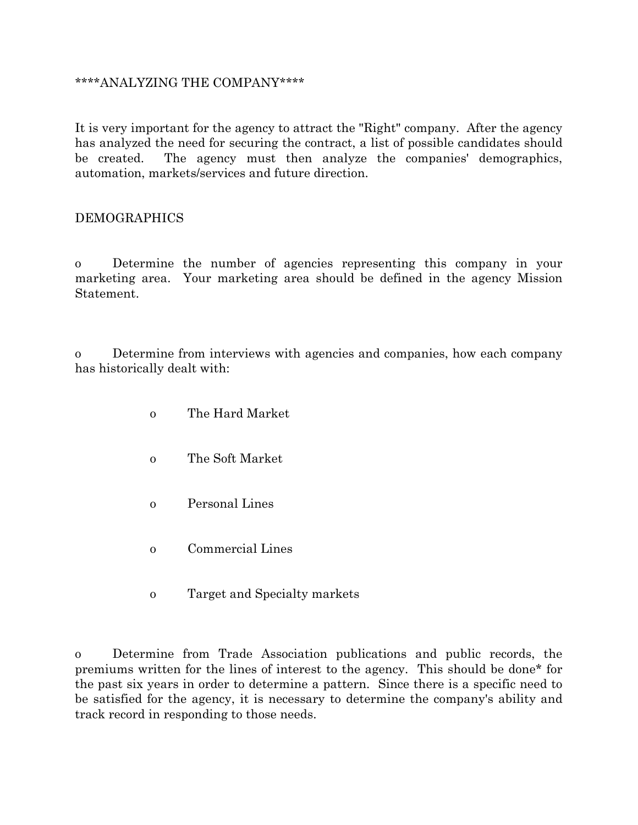#### \*\*\*\*ANALYZING THE COMPANY\*\*\*\*

It is very important for the agency to attract the "Right" company. After the agency has analyzed the need for securing the contract, a list of possible candidates should be created. The agency must then analyze the companies' demographics, automation, markets/services and future direction.

## DEMOGRAPHICS

o Determine the number of agencies representing this company in your marketing area. Your marketing area should be defined in the agency Mission Statement.

o Determine from interviews with agencies and companies, how each company has historically dealt with:

- o The Hard Market
- o The Soft Market
- o Personal Lines
- o Commercial Lines
- o Target and Specialty markets

o Determine from Trade Association publications and public records, the premiums written for the lines of interest to the agency. This should be done\* for the past six years in order to determine a pattern. Since there is a specific need to be satisfied for the agency, it is necessary to determine the company's ability and track record in responding to those needs.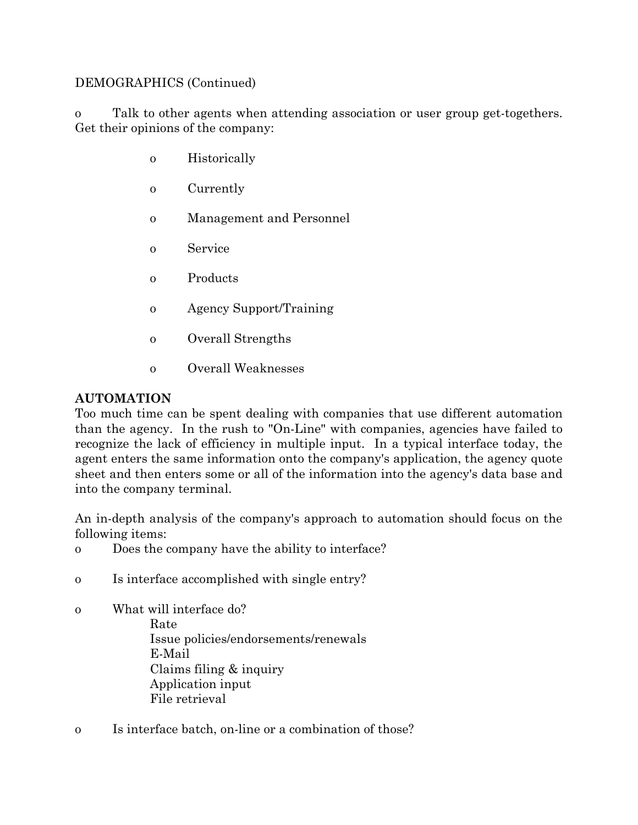## DEMOGRAPHICS (Continued)

o Talk to other agents when attending association or user group get-togethers. Get their opinions of the company:

- o Historically
- o Currently
- o Management and Personnel
- o Service
- o Products
- o Agency Support/Training
- o Overall Strengths
- o Overall Weaknesses

## **AUTOMATION**

Too much time can be spent dealing with companies that use different automation than the agency. In the rush to "On-Line" with companies, agencies have failed to recognize the lack of efficiency in multiple input. In a typical interface today, the agent enters the same information onto the company's application, the agency quote sheet and then enters some or all of the information into the agency's data base and into the company terminal.

An in-depth analysis of the company's approach to automation should focus on the following items:

- o Does the company have the ability to interface?
- o Is interface accomplished with single entry?
- o What will interface do?

 Rate Issue policies/endorsements/renewals E-Mail Claims filing & inquiry Application input File retrieval

o Is interface batch, on-line or a combination of those?